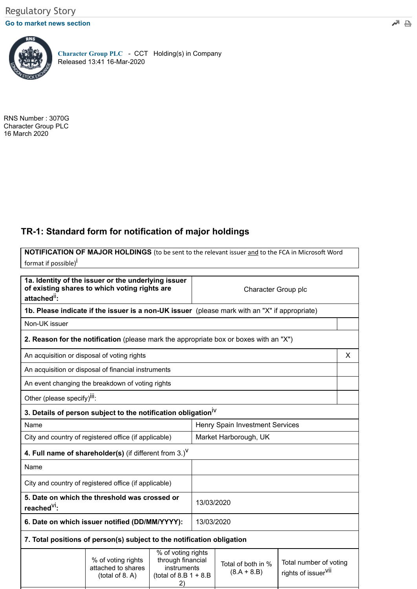## **[Go to market news section](javascript: sendto()**



**[Character Group PLC](https://www.londonstockexchange.com/exchange/prices-and-markets/stocks/summary/company-summary-via-tidm.html?tidm=CCT)** - CCT Holding(s) in Company Released 13:41 16-Mar-2020

RNS Number : 3070G Character Group PLC 16 March 2020

## **TR-1: Standard form for notification of major holdings**

**NOTIFICATION OF MAJOR HOLDINGS** (to be sent to the relevant issuer and to the FCA in Microsoft Word format if possible)<sup>İ</sup>

| 1a. Identity of the issuer or the underlying issuer<br>of existing shares to which voting rights are<br>attached <sup>ii</sup> : |                                                                                               |                                                                                          | Character Group plc             |                                     |                                                           |   |
|----------------------------------------------------------------------------------------------------------------------------------|-----------------------------------------------------------------------------------------------|------------------------------------------------------------------------------------------|---------------------------------|-------------------------------------|-----------------------------------------------------------|---|
|                                                                                                                                  | 1b. Please indicate if the issuer is a non-UK issuer (please mark with an "X" if appropriate) |                                                                                          |                                 |                                     |                                                           |   |
| Non-UK issuer                                                                                                                    |                                                                                               |                                                                                          |                                 |                                     |                                                           |   |
|                                                                                                                                  | 2. Reason for the notification (please mark the appropriate box or boxes with an "X")         |                                                                                          |                                 |                                     |                                                           |   |
| An acquisition or disposal of voting rights                                                                                      |                                                                                               |                                                                                          |                                 |                                     |                                                           | X |
|                                                                                                                                  | An acquisition or disposal of financial instruments                                           |                                                                                          |                                 |                                     |                                                           |   |
|                                                                                                                                  | An event changing the breakdown of voting rights                                              |                                                                                          |                                 |                                     |                                                           |   |
| Other (please specify) <sup>III</sup> :                                                                                          |                                                                                               |                                                                                          |                                 |                                     |                                                           |   |
|                                                                                                                                  | 3. Details of person subject to the notification obligation <sup>iv</sup>                     |                                                                                          |                                 |                                     |                                                           |   |
| Name                                                                                                                             |                                                                                               |                                                                                          | Henry Spain Investment Services |                                     |                                                           |   |
| City and country of registered office (if applicable)                                                                            |                                                                                               |                                                                                          | Market Harborough, UK           |                                     |                                                           |   |
| 4. Full name of shareholder(s) (if different from $3.$ ) <sup>V</sup>                                                            |                                                                                               |                                                                                          |                                 |                                     |                                                           |   |
| Name                                                                                                                             |                                                                                               |                                                                                          |                                 |                                     |                                                           |   |
| City and country of registered office (if applicable)                                                                            |                                                                                               |                                                                                          |                                 |                                     |                                                           |   |
| 5. Date on which the threshold was crossed or<br>reached <sup>VI</sup> :                                                         |                                                                                               | 13/03/2020                                                                               |                                 |                                     |                                                           |   |
| 6. Date on which issuer notified (DD/MM/YYYY):                                                                                   |                                                                                               | 13/03/2020                                                                               |                                 |                                     |                                                           |   |
| 7. Total positions of person(s) subject to the notification obligation                                                           |                                                                                               |                                                                                          |                                 |                                     |                                                           |   |
|                                                                                                                                  | % of voting rights<br>attached to shares<br>(total of 8. A)                                   | % of voting rights<br>through financial<br>instruments<br>(total of 8.B $1 + 8$ .B<br>2) |                                 | Total of both in %<br>$(8.A + 8.B)$ | Total number of voting<br>rights of issuer <sup>VII</sup> |   |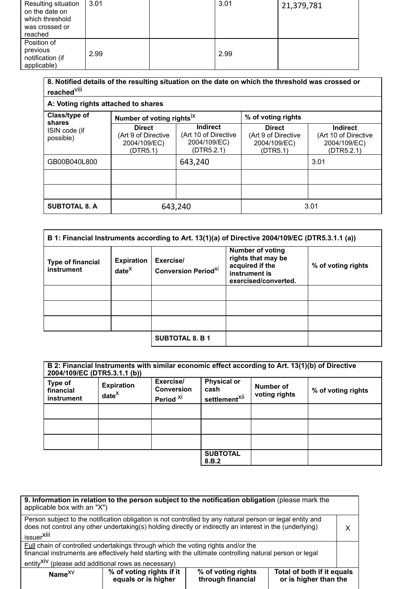| Resulting situation<br>on the date on<br>which threshold<br>was crossed or<br>reached | 3.01 | 3.01 | 21,379,781 |
|---------------------------------------------------------------------------------------|------|------|------------|
| Position of<br>previous<br>notification (if<br>applicable)                            | 2.99 | 2.99 |            |

| 8. Notified details of the resulting situation on the date on which the threshold was crossed or<br>reached <sup>Viii</sup> |                                                                  |                                                                       |                                                                  |                                                                       |
|-----------------------------------------------------------------------------------------------------------------------------|------------------------------------------------------------------|-----------------------------------------------------------------------|------------------------------------------------------------------|-----------------------------------------------------------------------|
| A: Voting rights attached to shares                                                                                         |                                                                  |                                                                       |                                                                  |                                                                       |
| Class/type of<br>shares                                                                                                     | Number of voting rights <sup>IX</sup>                            |                                                                       | % of voting rights                                               |                                                                       |
| ISIN code (if<br>possible)                                                                                                  | <b>Direct</b><br>(Art 9 of Directive<br>2004/109/EC)<br>(DTR5.1) | <b>Indirect</b><br>(Art 10 of Directive<br>2004/109/EC)<br>(DTR5.2.1) | <b>Direct</b><br>(Art 9 of Directive<br>2004/109/EC)<br>(DTR5.1) | <b>Indirect</b><br>(Art 10 of Directive<br>2004/109/EC)<br>(DTR5.2.1) |
| GB00B040L800                                                                                                                |                                                                  | 643,240                                                               |                                                                  | 3.01                                                                  |
|                                                                                                                             |                                                                  |                                                                       |                                                                  |                                                                       |
|                                                                                                                             |                                                                  |                                                                       |                                                                  |                                                                       |
| <b>SUBTOTAL 8. A</b>                                                                                                        | 643,240                                                          |                                                                       |                                                                  | 3.01                                                                  |

|                                        |                               |                                         | B 1: Financial Instruments according to Art. 13(1)(a) of Directive 2004/109/EC (DTR5.3.1.1 (a))           |                    |
|----------------------------------------|-------------------------------|-----------------------------------------|-----------------------------------------------------------------------------------------------------------|--------------------|
| <b>Type of financial</b><br>instrument | <b>Expiration</b><br>$date^X$ | Exercise/<br><b>Conversion Periodxi</b> | <b>Number of voting</b><br>rights that may be<br>acquired if the<br>instrument is<br>exercised/converted. | % of voting rights |
|                                        |                               |                                         |                                                                                                           |                    |
|                                        |                               |                                         |                                                                                                           |                    |
|                                        |                               |                                         |                                                                                                           |                    |
|                                        |                               | <b>SUBTOTAL 8. B 1</b>                  |                                                                                                           |                    |

|                                           | B 2: Financial Instruments with similar economic effect according to Art. 13(1)(b) of Directive<br>2004/109/EC (DTR5.3.1.1 (b)) |                                                        |                                                         |                            |                    |
|-------------------------------------------|---------------------------------------------------------------------------------------------------------------------------------|--------------------------------------------------------|---------------------------------------------------------|----------------------------|--------------------|
| Type of<br>financial<br><b>instrument</b> | <b>Expiration</b><br>$date^X$                                                                                                   | Exercise/<br><b>Conversion</b><br>Period <sup>XI</sup> | <b>Physical or</b><br>cash<br>settlement <sup>Xii</sup> | Number of<br>voting rights | % of voting rights |
|                                           |                                                                                                                                 |                                                        |                                                         |                            |                    |
|                                           |                                                                                                                                 |                                                        |                                                         |                            |                    |
|                                           |                                                                                                                                 |                                                        |                                                         |                            |                    |
|                                           |                                                                                                                                 |                                                        | <b>SUBTOTAL</b><br>8.B.2                                |                            |                    |

| applicable box with an "X")                                                                                                                                                                                                                     | 9. Information in relation to the person subject to the notification obligation (please mark the                                                                                              |                                         |                                                     |   |
|-------------------------------------------------------------------------------------------------------------------------------------------------------------------------------------------------------------------------------------------------|-----------------------------------------------------------------------------------------------------------------------------------------------------------------------------------------------|-----------------------------------------|-----------------------------------------------------|---|
| Person subject to the notification obligation is not controlled by any natural person or legal entity and<br>does not control any other undertaking(s) holding directly or indirectly an interest in the (underlying)<br>issuer <sup>Xiii</sup> |                                                                                                                                                                                               |                                         |                                                     | x |
| entity <sup>XIV</sup> (please add additional rows as necessary)                                                                                                                                                                                 | Full chain of controlled undertakings through which the voting rights and/or the<br>financial instruments are effectively held starting with the ultimate controlling natural person or legal |                                         |                                                     |   |
| Name $^{XV}$                                                                                                                                                                                                                                    | % of voting rights if it<br>equals or is higher                                                                                                                                               | % of voting rights<br>through financial | Total of both if it equals<br>or is higher than the |   |